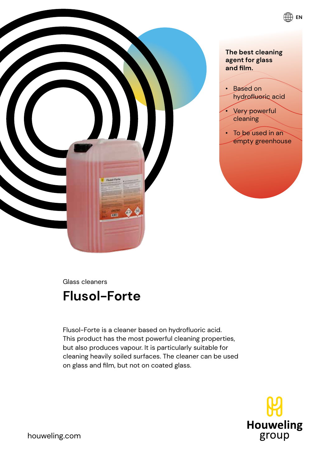

Glass cleaners

# **Flusol-Forte**

Flusol-Forte is a cleaner based on hydrofluoric acid. This product has the most powerful cleaning properties, but also produces vapour. It is particularly suitable for cleaning heavily soiled surfaces. The cleaner can be used on glass and film, but not on coated glass.